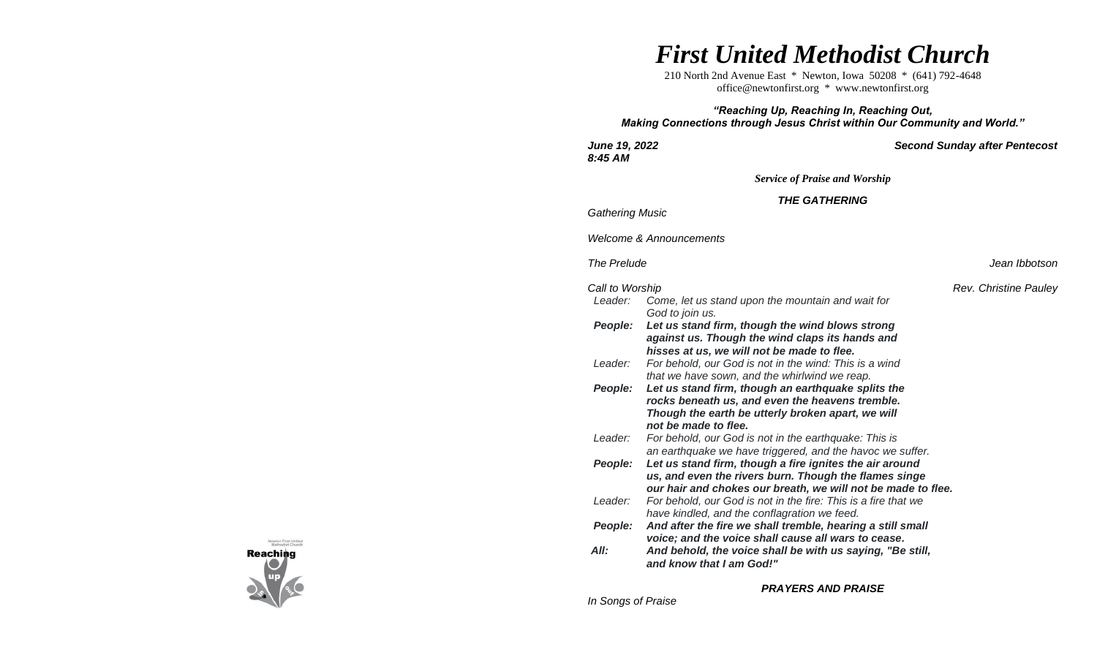# *First United Methodist Church*

210 North 2nd Avenue East \* Newton, Iowa 50208 \* (641) 792-4648 [office@newtonfirst.org](mailto:office@newtonfirst.org) \* [www.newtonfirst.org](http://www.newtonfirst.org/)

# *"Reaching Up, Reaching In, Reaching Out, Making Connections through Jesus Christ within Our Community and World."*

*8:45 AM* 

*June 19, 2022 Second Sunday after Pentecost* 

*Service of Praise and Worship*

## *THE GATHERING*

*Gathering Music Welcome & Announcements*

*God to join us.*

### **The Prelude Jean Ibbotson**

| Call to Worship |                                                           | Rev. Christine Pauley |
|-----------------|-----------------------------------------------------------|-----------------------|
|                 | Leader: Come, let us stand upon the mountain and wait for |                       |

|            | <u>ou to joint aoi</u>                                                |
|------------|-----------------------------------------------------------------------|
| People:    | Let us stand firm, though the wind blows strong                       |
|            | against us. Though the wind claps its hands and                       |
|            | hisses at us, we will not be made to flee.                            |
| $l$ cooler | $\Gamma$ ar bahald aur $\Omega$ ad is not in the wind: This is a wind |

- *Leader: For behold, our God is not in the wind: This is a wind that we have sown, and the whirlwind we reap.*
- *People: Let us stand firm, though an earthquake splits the rocks beneath us, and even the heavens tremble. Though the earth be utterly broken apart, we will not be made to flee.*
- *Leader: For behold, our God is not in the earthquake: This is an earthquake we have triggered, and the havoc we suffer.*
- *People: Let us stand firm, though a fire ignites the air around us, and even the rivers burn. Though the flames singe our hair and chokes our breath, we will not be made to flee.*
- *Leader: For behold, our God is not in the fire: This is a fire that we have kindled, and the conflagration we feed.*
- *People: And after the fire we shall tremble, hearing a still small voice; and the voice shall cause all wars to cease.*
- *All: And behold, the voice shall be with us saying, "Be still, and know that I am God!"*

*In Songs of Praise*



*PRAYERS AND PRAISE*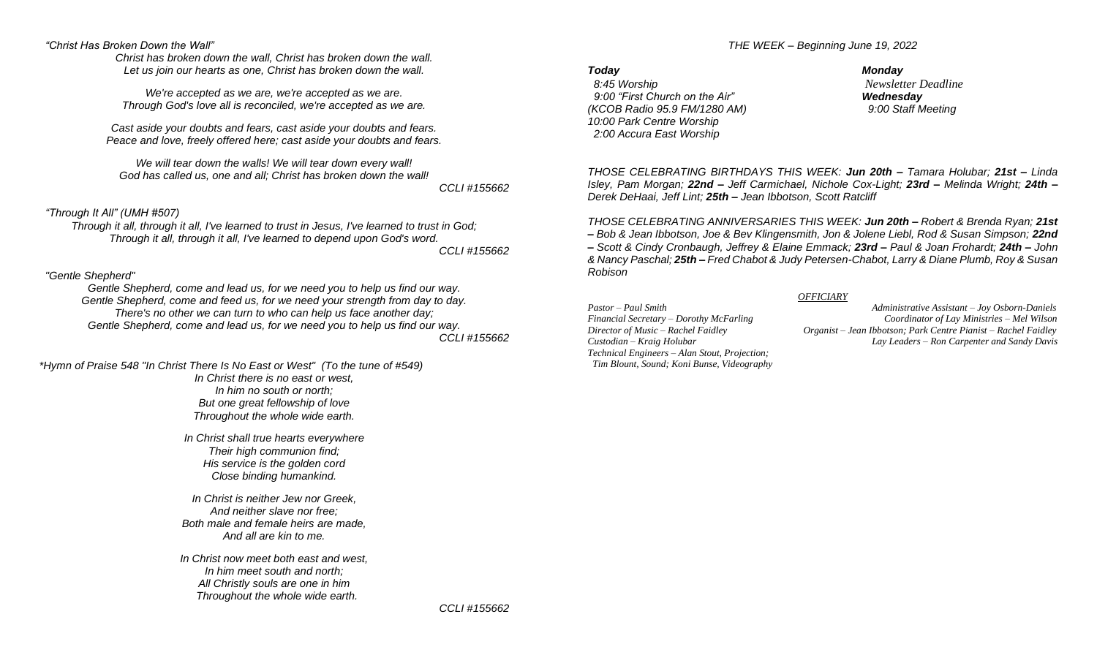*"Christ Has Broken Down the Wall"* 

*Christ has broken down the wall, Christ has broken down the wall. Let us join our hearts as one, Christ has broken down the wall.*

*We're accepted as we are, we're accepted as we are. Through God's love all is reconciled, we're accepted as we are.*

*Cast aside your doubts and fears, cast aside your doubts and fears. Peace and love, freely offered here; cast aside your doubts and fears.*

*We will tear down the walls! We will tear down every wall! God has called us, one and all; Christ has broken down the wall!*

*CCLI #155662*

# *"Through It All" (UMH #507)*

*Through it all, through it all, I've learned to trust in Jesus, I've learned to trust in God; Through it all, through it all, I've learned to depend upon God's word.*

*CCLI #155662*

# *"Gentle Shepherd"*

*Gentle Shepherd, come and lead us, for we need you to help us find our way. Gentle Shepherd, come and feed us, for we need your strength from day to day. There's no other we can turn to who can help us face another day; Gentle Shepherd, come and lead us, for we need you to help us find our way. CCLI #155662*

*\*Hymn of Praise 548 "In Christ There Is No East or West" (To the tune of #549) In Christ there is no east or west, In him no south or north; But one great fellowship of love Throughout the whole wide earth.*

> *In Christ shall true hearts everywhere Their high communion find; His service is the golden cord Close binding humankind.*

> *In Christ is neither Jew nor Greek, And neither slave nor free; Both male and female heirs are made, And all are kin to me.*

*In Christ now meet both east and west, In him meet south and north; All Christly souls are one in him Throughout the whole wide earth.*

*THE WEEK – Beginning June 19, 2022*

 *8:45 Worship Newsletter Deadline 9:00 "First Church on the Air" Wednesday (KCOB Radio 95.9 FM/1280 AM) 9:00 Staff Meeting 10:00 Park Centre Worship 2:00 Accura East Worship* 

*Today Monday*

*THOSE CELEBRATING BIRTHDAYS THIS WEEK: Jun 20th – Tamara Holubar; 21st – Linda Isley, Pam Morgan; 22nd – Jeff Carmichael, Nichole Cox-Light; 23rd – Melinda Wright; 24th – Derek DeHaai, Jeff Lint; 25th – Jean Ibbotson, Scott Ratcliff*

*THOSE CELEBRATING ANNIVERSARIES THIS WEEK: Jun 20th – Robert & Brenda Ryan; 21st – Bob & Jean Ibbotson, Joe & Bev Klingensmith, Jon & Jolene Liebl, Rod & Susan Simpson; 22nd – Scott & Cindy Cronbaugh, Jeffrey & Elaine Emmack; 23rd – Paul & Joan Frohardt; 24th – John & Nancy Paschal; 25th – Fred Chabot & Judy Petersen-Chabot, Larry & Diane Plumb, Roy & Susan Robison* 

*Technical Engineers – Alan Stout, Projection; Tim Blount, Sound; Koni Bunse, Videography*

# *OFFICIARY*

*Pastor – Paul Smith Administrative Assistant – Joy Osborn-Daniels Financial Secretary – Dorothy McFarling Coordinator of Lay Ministries – Mel Wilson Director of Music – Rachel Faidley Organist – Jean Ibbotson; Park Centre Pianist – Rachel Faidley Custodian – Kraig Holubar Lay Leaders – Ron Carpenter and Sandy Davis*

*CCLI #155662*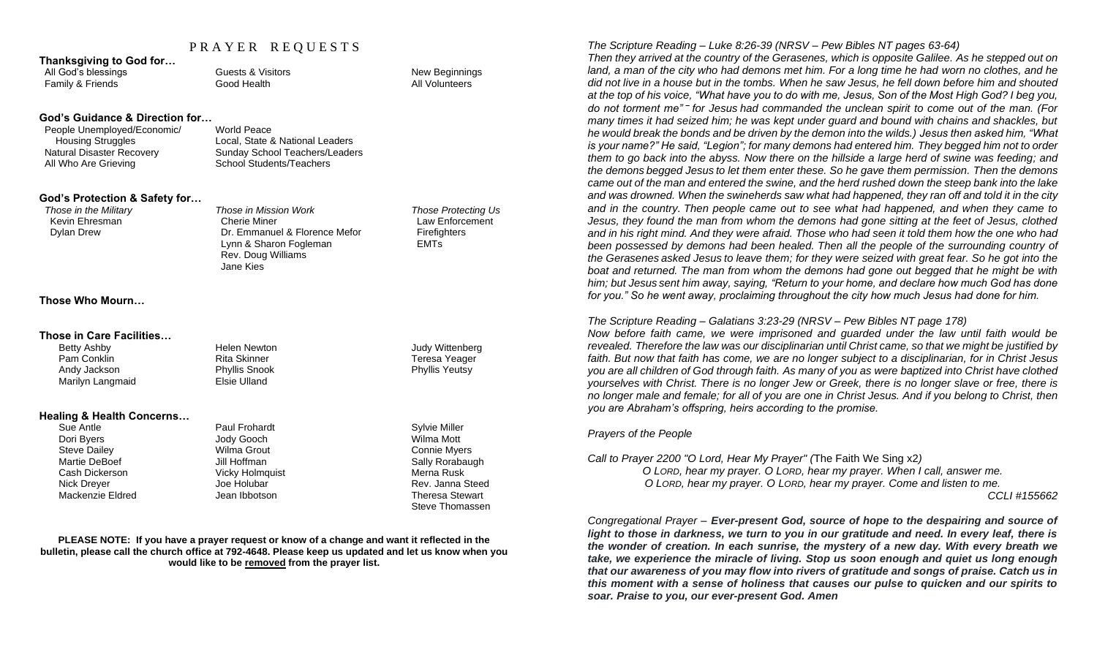# PRAYER REQUESTS

| Thanksgiving to God for<br>All God's blessings        | <b>Guests &amp; Visitors</b>                                      | New Beginnings                         |
|-------------------------------------------------------|-------------------------------------------------------------------|----------------------------------------|
| Family & Friends                                      | Good Health                                                       | All Volunteers                         |
| God's Guidance & Direction for                        |                                                                   |                                        |
| People Unemployed/Economic/                           | <b>World Peace</b>                                                |                                        |
| <b>Housing Struggles</b><br>Natural Disaster Recovery | Local. State & National Leaders<br>Sunday School Teachers/Leaders |                                        |
| All Who Are Grieving                                  | <b>School Students/Teachers</b>                                   |                                        |
| God's Protection & Safety for                         |                                                                   |                                        |
| Those in the Military                                 | Those in Mission Work                                             | <b>Those Protecting Us</b>             |
| Kevin Ehresman                                        | <b>Cherie Miner</b>                                               | Law Enforcement                        |
| <b>Dylan Drew</b>                                     | Dr. Emmanuel & Florence Mefor                                     | Firefighters<br><b>EMTs</b>            |
|                                                       | Lynn & Sharon Fogleman<br>Rev. Doug Williams                      |                                        |
|                                                       | Jane Kies                                                         |                                        |
| Those Who Mourn                                       |                                                                   |                                        |
| Those in Care Facilities                              |                                                                   |                                        |
| <b>Betty Ashby</b>                                    | <b>Helen Newton</b>                                               | Judy Wittenberg                        |
| Pam Conklin<br>Andy Jackson                           | <b>Rita Skinner</b><br>Phyllis Snook                              | <b>Teresa Yeager</b><br>Phyllis Yeutsy |
| Marilyn Langmaid                                      | Elsie Ulland                                                      |                                        |
| <b>Healing &amp; Health Concerns</b>                  |                                                                   |                                        |
| Sue Antle                                             | Paul Frohardt                                                     | <b>Sylvie Miller</b>                   |
| Dori Byers                                            | Jody Gooch                                                        | Wilma Mott                             |
| <b>Steve Dailey</b>                                   | Wilma Grout                                                       | Connie Myers                           |
| Martie DeBoef                                         | Jill Hoffman                                                      | Sally Rorabaugh<br>Merna Rusk          |
| Cash Dickerson                                        | <b>Vicky Holmquist</b><br>Joe Holubar                             | Rev. Janna Steed                       |
| Nick Dreyer<br>Mackenzie Eldred                       | Jean Ibbotson                                                     | <b>Theresa Stewart</b>                 |

**PLEASE NOTE: If you have a prayer request or know of a change and want it reflected in the bulletin, please call the church office at 792-4648. Please keep us updated and let us know when you would like to be removed from the prayer list.**

#### *The Scripture Reading – Luke 8:26-39 (NRSV – Pew Bibles NT pages 63-64)*

*Then they arrived at the country of the Gerasenes, which is opposite Galilee. As he stepped out on land, a man of the city who had demons met him. For a long time he had worn no clothes, and he did not live in a house but in the tombs. When he saw Jesus, he fell down before him and shouted at the top of his voice, "What have you to do with me, Jesus, Son of the Most High God? I beg you, do not torment me" – for Jesus had commanded the unclean spirit to come out of the man. (For many times it had seized him; he was kept under guard and bound with chains and shackles, but he would break the bonds and be driven by the demon into the wilds.) Jesus then asked him, "What is your name?" He said, "Legion"; for many demons had entered him. They begged him not to order them to go back into the abyss. Now there on the hillside a large herd of swine was feeding; and the demons begged Jesus to let them enter these. So he gave them permission. Then the demons came out of the man and entered the swine, and the herd rushed down the steep bank into the lake and was drowned. When the swineherds saw what had happened, they ran off and told it in the city and in the country. Then people came out to see what had happened, and when they came to Jesus, they found the man from whom the demons had gone sitting at the feet of Jesus, clothed and in his right mind. And they were afraid. Those who had seen it told them how the one who had been possessed by demons had been healed. Then all the people of the surrounding country of the Gerasenes asked Jesus to leave them; for they were seized with great fear. So he got into the boat and returned. The man from whom the demons had gone out begged that he might be with him; but Jesus sent him away, saying, "Return to your home, and declare how much God has done for you." So he went away, proclaiming throughout the city how much Jesus had done for him.*

#### *The Scripture Reading – Galatians 3:23-29 (NRSV – Pew Bibles NT page 178)*

*Now before faith came, we were imprisoned and guarded under the law until faith would be revealed. Therefore the law was our disciplinarian until Christ came, so that we might be justified by faith. But now that faith has come, we are no longer subject to a disciplinarian, for in Christ Jesus you are all children of God through faith. As many of you as were baptized into Christ have clothed yourselves with Christ. There is no longer Jew or Greek, there is no longer slave or free, there is no longer male and female; for all of you are one in Christ Jesus. And if you belong to Christ, then you are Abraham's offspring, heirs according to the promise.*

*Prayers of the People*

*Call to Prayer 2200 "O Lord, Hear My Prayer" (*The Faith We Sing x2*) O LORD, hear my prayer. O LORD, hear my prayer. When I call, answer me. O LORD, hear my prayer. O LORD, hear my prayer. Come and listen to me.* 

*CCLI #155662*

*Congregational Prayer – Ever-present God, source of hope to the despairing and source of light to those in darkness, we turn to you in our gratitude and need. In every leaf, there is the wonder of creation. In each sunrise, the mystery of a new day. With every breath we take, we experience the miracle of living. Stop us soon enough and quiet us long enough that our awareness of you may flow into rivers of gratitude and songs of praise. Catch us in this moment with a sense of holiness that causes our pulse to quicken and our spirits to soar. Praise to you, our ever-present God. Amen*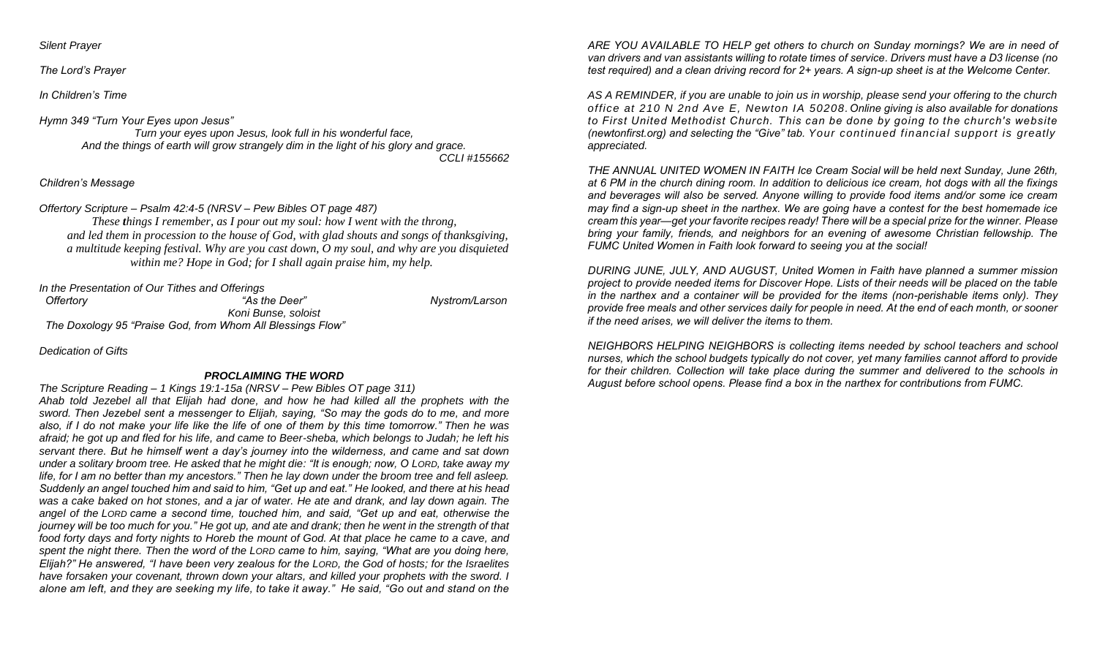*Silent Prayer*

*The Lord's Prayer*

*In Children's Time* 

# *Hymn 349 "Turn Your Eyes upon Jesus"*

*Turn your eyes upon Jesus, look full in his wonderful face, And the things of earth will grow strangely dim in the light of his glory and grace. CCLI #155662*

# *Children's Message*

# *Offertory Scripture – Psalm 42:4-5 (NRSV – Pew Bibles OT page 487)*

*These things I remember, as I pour out my soul: how I went with the throng, and led them in procession to the house of God, with glad shouts and songs of thanksgiving, a multitude keeping festival. Why are you cast down, O my soul, and why are you disquieted within me? Hope in God; for I shall again praise him, my help.*

| In the Presentation of Our Tithes and Offerings |                                                            |                |
|-------------------------------------------------|------------------------------------------------------------|----------------|
| Offertory                                       | "As the Deer"                                              | Nystrom/Larson |
|                                                 | Koni Bunse, soloist                                        |                |
|                                                 | The Doxology 95 "Praise God, from Whom All Blessings Flow" |                |

*Dedication of Gifts*

# *PROCLAIMING THE WORD*

*The Scripture Reading – 1 Kings 19:1-15a (NRSV – Pew Bibles OT page 311) Ahab told Jezebel all that Elijah had done, and how he had killed all the prophets with the sword. Then Jezebel sent a messenger to Elijah, saying, "So may the gods do to me, and more also, if I do not make your life like the life of one of them by this time tomorrow." Then he was afraid; he got up and fled for his life, and came to Beer-sheba, which belongs to Judah; he left his servant there. But he himself went a day's journey into the wilderness, and came and sat down under a solitary broom tree. He asked that he might die: "It is enough; now, O LORD, take away my life, for I am no better than my ancestors." Then he lay down under the broom tree and fell asleep. Suddenly an angel touched him and said to him, "Get up and eat." He looked, and there at his head was a cake baked on hot stones, and a jar of water. He ate and drank, and lay down again. The angel of the LORD came a second time, touched him, and said, "Get up and eat, otherwise the journey will be too much for you." He got up, and ate and drank; then he went in the strength of that food forty days and forty nights to Horeb the mount of God. At that place he came to a cave, and spent the night there. Then the word of the LORD came to him, saying, "What are you doing here, Elijah?" He answered, "I have been very zealous for the LORD, the God of hosts; for the Israelites have forsaken your covenant, thrown down your altars, and killed your prophets with the sword. I alone am left, and they are seeking my life, to take it away." He said, "Go out and stand on the*

*ARE YOU AVAILABLE TO HELP get others to church on Sunday mornings? We are in need of van drivers and van assistants willing to rotate times of service. Drivers must have a D3 license (no test required) and a clean driving record for 2+ years. A sign-up sheet is at the Welcome Center.*

*AS A REMINDER, if you are unable to join us in worship, please send your offering to the church office at 210 N 2nd Ave E, Newton IA 50208.Online giving is also available for donations to First United Methodist Church. This can be done by going to the church's website (newtonfirst.org) and selecting the "Give" tab. Your continued financial support is greatly appreciated.*

*THE ANNUAL UNITED WOMEN IN FAITH Ice Cream Social will be held next Sunday, June 26th, at 6 PM in the church dining room. In addition to delicious ice cream, hot dogs with all the fixings and beverages will also be served. Anyone willing to provide food items and/or some ice cream may find a sign-up sheet in the narthex. We are going have a contest for the best homemade ice cream this year—get your favorite recipes ready! There will be a special prize for the winner. Please bring your family, friends, and neighbors for an evening of awesome Christian fellowship. The FUMC United Women in Faith look forward to seeing you at the social!*

*DURING JUNE, JULY, AND AUGUST, United Women in Faith have planned a summer mission project to provide needed items for Discover Hope. Lists of their needs will be placed on the table in the narthex and a container will be provided for the items (non-perishable items only). They provide free meals and other services daily for people in need. At the end of each month, or sooner if the need arises, we will deliver the items to them.* 

*NEIGHBORS HELPING NEIGHBORS is collecting items needed by school teachers and school nurses, which the school budgets typically do not cover, yet many families cannot afford to provide for their children. Collection will take place during the summer and delivered to the schools in August before school opens. Please find a box in the narthex for contributions from FUMC.*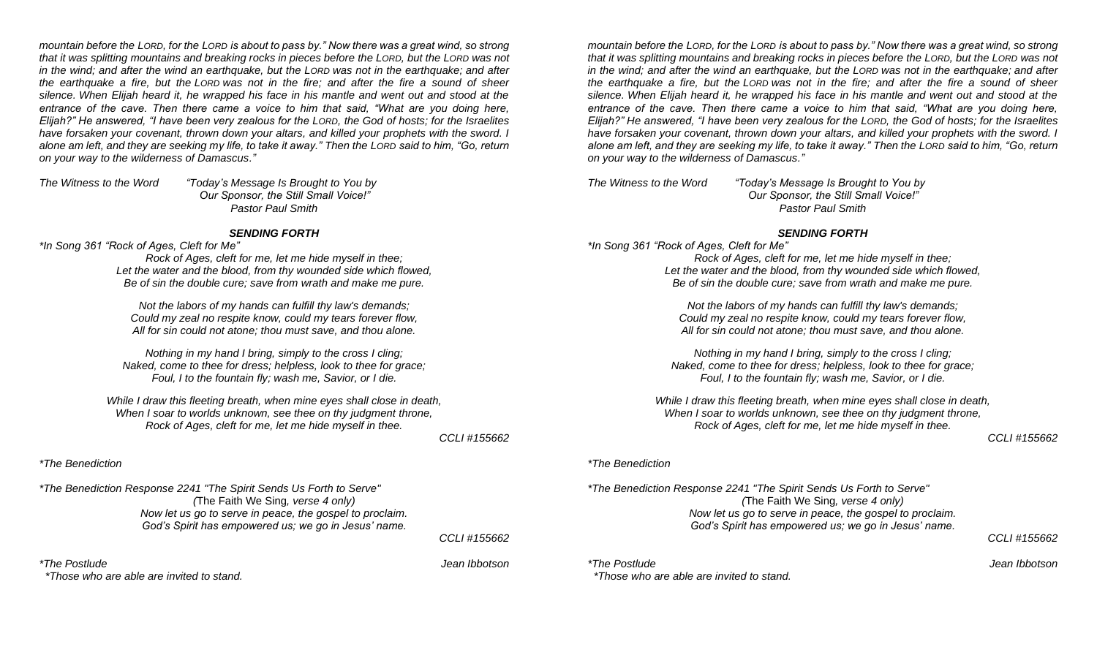*mountain before the LORD, for the LORD is about to pass by." Now there was a great wind, so strong that it was splitting mountains and breaking rocks in pieces before the LORD, but the LORD was not in the wind; and after the wind an earthquake, but the LORD was not in the earthquake; and after the earthquake a fire, but the LORD was not in the fire; and after the fire a sound of sheer silence. When Elijah heard it, he wrapped his face in his mantle and went out and stood at the entrance of the cave. Then there came a voice to him that said, "What are you doing here, Elijah?" He answered, "I have been very zealous for the LORD, the God of hosts; for the Israelites*  have forsaken your covenant, thrown down your altars, and killed your prophets with the sword. I *alone am left, and they are seeking my life, to take it away." Then the LORD said to him, "Go, return on your way to the wilderness of Damascus."*

*The Witness to the Word "Today's Message Is Brought to You by Our Sponsor, the Still Small Voice!" Pastor Paul Smith*

### *SENDING FORTH*

*\*In Song 361 "Rock of Ages, Cleft for Me"*

*Rock of Ages, cleft for me, let me hide myself in thee; Let the water and the blood, from thy wounded side which flowed, Be of sin the double cure; save from wrath and make me pure.*

*Not the labors of my hands can fulfill thy law's demands; Could my zeal no respite know, could my tears forever flow, All for sin could not atone; thou must save, and thou alone.*

*Nothing in my hand I bring, simply to the cross I cling; Naked, come to thee for dress; helpless, look to thee for grace; Foul, I to the fountain fly; wash me, Savior, or I die.*

*While I draw this fleeting breath, when mine eyes shall close in death, When I soar to worlds unknown, see thee on thy judgment throne, Rock of Ages, cleft for me, let me hide myself in thee.*

*CCLI #155662*

*\*The Benediction*

*\*The Benediction Response 2241 "The Spirit Sends Us Forth to Serve" (*The Faith We Sing*, verse 4 only) Now let us go to serve in peace, the gospel to proclaim. God's Spirit has empowered us; we go in Jesus' name.*

*\*The Postlude Jean Ibbotson \*Those who are able are invited to stand.*

*CCLI #155662*

*mountain before the LORD, for the LORD is about to pass by." Now there was a great wind, so strong that it was splitting mountains and breaking rocks in pieces before the LORD, but the LORD was not in the wind; and after the wind an earthquake, but the LORD was not in the earthquake; and after the earthquake a fire, but the LORD was not in the fire; and after the fire a sound of sheer silence. When Elijah heard it, he wrapped his face in his mantle and went out and stood at the entrance of the cave. Then there came a voice to him that said, "What are you doing here, Elijah?" He answered, "I have been very zealous for the LORD, the God of hosts; for the Israelites*  have forsaken your covenant, thrown down your altars, and killed your prophets with the sword. I *alone am left, and they are seeking my life, to take it away." Then the LORD said to him, "Go, return on your way to the wilderness of Damascus."*

*The Witness to the Word "Today's Message Is Brought to You by Our Sponsor, the Still Small Voice!" Pastor Paul Smith*

### *SENDING FORTH*

*\*In Song 361 "Rock of Ages, Cleft for Me"*

*Rock of Ages, cleft for me, let me hide myself in thee; Let the water and the blood, from thy wounded side which flowed, Be of sin the double cure; save from wrath and make me pure.*

*Not the labors of my hands can fulfill thy law's demands; Could my zeal no respite know, could my tears forever flow, All for sin could not atone; thou must save, and thou alone.*

*Nothing in my hand I bring, simply to the cross I cling; Naked, come to thee for dress; helpless, look to thee for grace; Foul, I to the fountain fly; wash me, Savior, or I die.*

*While I draw this fleeting breath, when mine eyes shall close in death, When I soar to worlds unknown, see thee on thy judgment throne, Rock of Ages, cleft for me, let me hide myself in thee.*

*CCLI #155662*

### *\*The Benediction*

*\*The Benediction Response 2241 "The Spirit Sends Us Forth to Serve" (*The Faith We Sing*, verse 4 only) Now let us go to serve in peace, the gospel to proclaim. God's Spirit has empowered us; we go in Jesus' name.*

*CCLI #155662*

*\*The Postlude Jean Ibbotson \*Those who are able are invited to stand.*